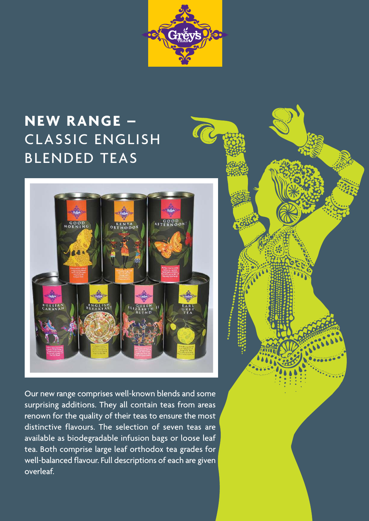

**PERSONAL** 

## **NEW RANGE –** CLASSIC ENGLISH BLENDED TEAS



Our new range comprises well-known blends and some surprising additions. They all contain teas from areas renown for the quality of their teas to ensure the most distinctive flavours. The selection of seven teas are available as biodegradable infusion bags or loose leaf tea. Both comprise large leaf orthodox tea grades for well-balanced flavour. Full descriptions of each are given overleaf.